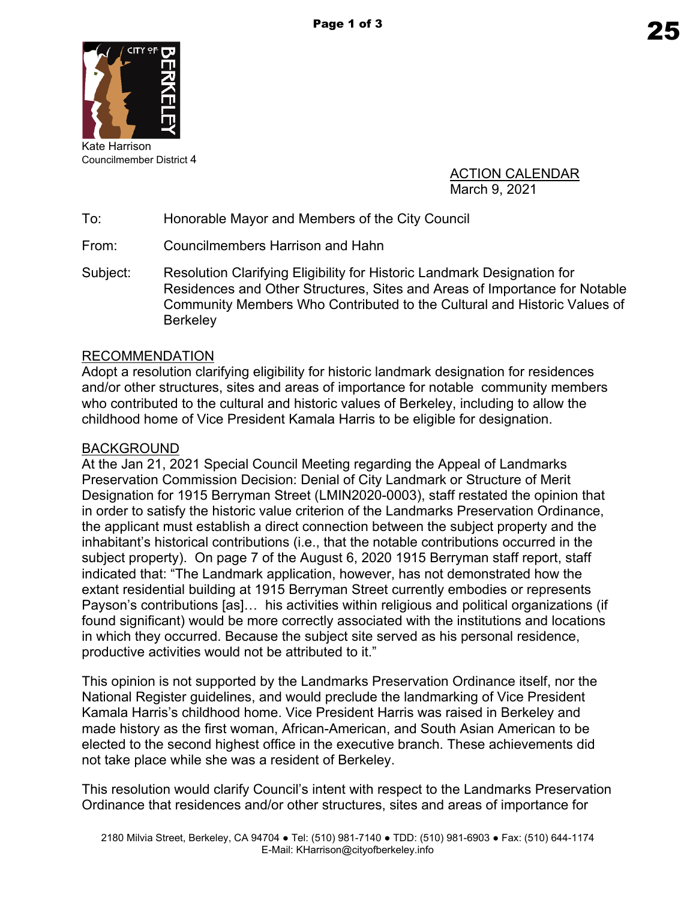

Kate Harrison Councilmember District 4

> ACTION CALENDAR March 9, 2021

To: Honorable Mayor and Members of the City Council

From: Councilmembers Harrison and Hahn

Subject: Resolution Clarifying Eligibility for Historic Landmark Designation for Residences and Other Structures, Sites and Areas of Importance for Notable Community Members Who Contributed to the Cultural and Historic Values of **Berkelev** 

### RECOMMENDATION

Adopt a resolution clarifying eligibility for historic landmark designation for residences and/or other structures, sites and areas of importance for notable community members who contributed to the cultural and historic values of Berkeley, including to allow the childhood home of Vice President Kamala Harris to be eligible for designation.

### BACKGROUND

At the Jan 21, 2021 Special Council Meeting regarding the Appeal of Landmarks Preservation Commission Decision: Denial of City Landmark or Structure of Merit Designation for 1915 Berryman Street (LMIN2020-0003), staff restated the opinion that in order to satisfy the historic value criterion of the Landmarks Preservation Ordinance, the applicant must establish a direct connection between the subject property and the inhabitant's historical contributions (i.e., that the notable contributions occurred in the subject property). On page 7 of the August 6, 2020 1915 Berryman staff report, staff indicated that: "The Landmark application, however, has not demonstrated how the extant residential building at 1915 Berryman Street currently embodies or represents Payson's contributions [as]… his activities within religious and political organizations (if found significant) would be more correctly associated with the institutions and locations in which they occurred. Because the subject site served as his personal residence, productive activities would not be attributed to it."

This opinion is not supported by the Landmarks Preservation Ordinance itself, nor the National Register guidelines, and would preclude the landmarking of Vice President Kamala Harris's childhood home. Vice President Harris was raised in Berkeley and made history as the first woman, African-American, and South Asian American to be elected to the second highest office in the executive branch. These achievements did not take place while she was a resident of Berkeley.

This resolution would clarify Council's intent with respect to the Landmarks Preservation Ordinance that residences and/or other structures, sites and areas of importance for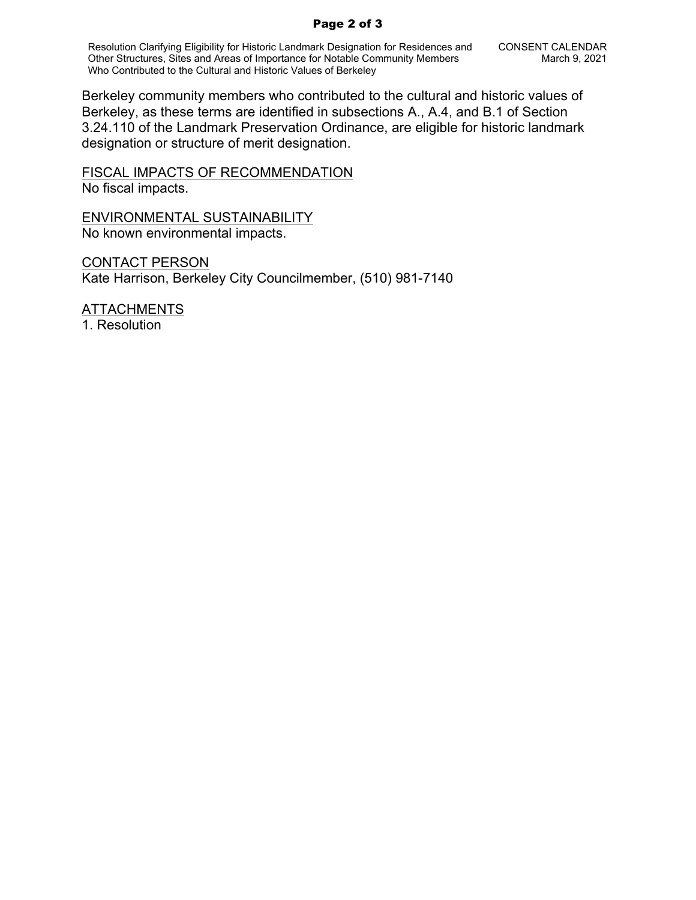#### Page 2 of 3

Resolution Clarifying Eligibility for Historic Landmark Designation for Residences and Other Structures, Sites and Areas of Importance for Notable Community Members Who Contributed to the Cultural and Historic Values of Berkeley

Berkeley community members who contributed to the cultural and historic values of Berkeley, as these terms are identified in subsections A., A.4, and B.1 of Section 3.24.110 of the Landmark Preservation Ordinance, are eligible for historic landmark designation or structure of merit designation.

FISCAL IMPACTS OF RECOMMENDATION No fiscal impacts.

ENVIRONMENTAL SUSTAINABILITY No known environmental impacts.

CONTACT PERSON Kate Harrison, Berkeley City Councilmember, (510) 981-7140

ATTACHMENTS 1. Resolution